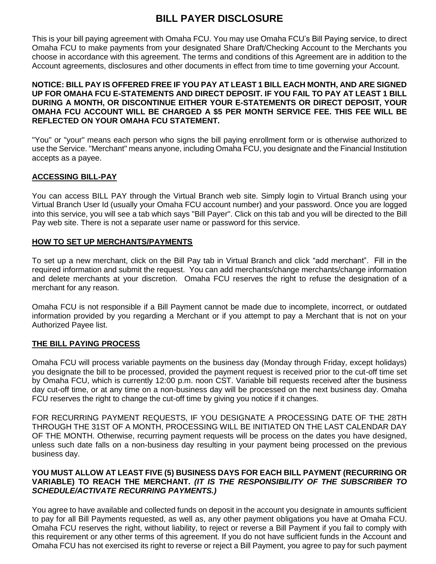# **BILL PAYER DISCLOSURE**

This is your bill paying agreement with Omaha FCU. You may use Omaha FCU's Bill Paying service, to direct Omaha FCU to make payments from your designated Share Draft/Checking Account to the Merchants you choose in accordance with this agreement. The terms and conditions of this Agreement are in addition to the Account agreements, disclosures and other documents in effect from time to time governing your Account.

#### **NOTICE: BILL PAY IS OFFERED FREE IF YOU PAY AT LEAST 1 BILL EACH MONTH, AND ARE SIGNED UP FOR OMAHA FCU E-STATEMENTS AND DIRECT DEPOSIT. IF YOU FAIL TO PAY AT LEAST 1 BILL DURING A MONTH, OR DISCONTINUE EITHER YOUR E-STATEMENTS OR DIRECT DEPOSIT, YOUR OMAHA FCU ACCOUNT WILL BE CHARGED A \$5 PER MONTH SERVICE FEE. THIS FEE WILL BE REFLECTED ON YOUR OMAHA FCU STATEMENT.**

"You" or "your" means each person who signs the bill paying enrollment form or is otherwise authorized to use the Service. "Merchant" means anyone, including Omaha FCU, you designate and the Financial Institution accepts as a payee.

## **ACCESSING BILL-PAY**

You can access BILL PAY through the Virtual Branch web site. Simply login to Virtual Branch using your Virtual Branch User Id (usually your Omaha FCU account number) and your password. Once you are logged into this service, you will see a tab which says "Bill Payer". Click on this tab and you will be directed to the Bill Pay web site. There is not a separate user name or password for this service.

#### **HOW TO SET UP MERCHANTS/PAYMENTS**

To set up a new merchant, click on the Bill Pay tab in Virtual Branch and click "add merchant". Fill in the required information and submit the request. You can add merchants/change merchants/change information and delete merchants at your discretion. Omaha FCU reserves the right to refuse the designation of a merchant for any reason.

Omaha FCU is not responsible if a Bill Payment cannot be made due to incomplete, incorrect, or outdated information provided by you regarding a Merchant or if you attempt to pay a Merchant that is not on your Authorized Payee list.

## **THE BILL PAYING PROCESS**

Omaha FCU will process variable payments on the business day (Monday through Friday, except holidays) you designate the bill to be processed, provided the payment request is received prior to the cut-off time set by Omaha FCU, which is currently 12:00 p.m. noon CST. Variable bill requests received after the business day cut-off time, or at any time on a non-business day will be processed on the next business day. Omaha FCU reserves the right to change the cut-off time by giving you notice if it changes.

FOR RECURRING PAYMENT REQUESTS, IF YOU DESIGNATE A PROCESSING DATE OF THE 28TH THROUGH THE 31ST OF A MONTH, PROCESSING WILL BE INITIATED ON THE LAST CALENDAR DAY OF THE MONTH. Otherwise, recurring payment requests will be process on the dates you have designed, unless such date falls on a non-business day resulting in your payment being processed on the previous business day.

#### **YOU MUST ALLOW AT LEAST FIVE (5) BUSINESS DAYS FOR EACH BILL PAYMENT (RECURRING OR VARIABLE) TO REACH THE MERCHANT.** *(IT IS THE RESPONSIBILITY OF THE SUBSCRIBER TO SCHEDULE/ACTIVATE RECURRING PAYMENTS.)*

You agree to have available and collected funds on deposit in the account you designate in amounts sufficient to pay for all Bill Payments requested, as well as, any other payment obligations you have at Omaha FCU. Omaha FCU reserves the right, without liability, to reject or reverse a Bill Payment if you fail to comply with this requirement or any other terms of this agreement. If you do not have sufficient funds in the Account and Omaha FCU has not exercised its right to reverse or reject a Bill Payment, you agree to pay for such payment